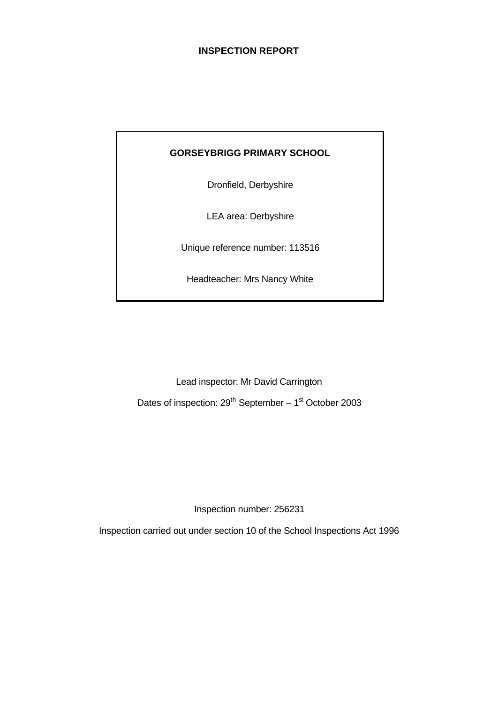# **INSPECTION REPORT**

# **GORSEYBRIGG PRIMARY SCHOOL**

Dronfield, Derbyshire

LEA area: Derbyshire

Unique reference number: 113516

Headteacher: Mrs Nancy White

Lead inspector: Mr David Carrington

Dates of inspection:  $29^{th}$  September – 1<sup>st</sup> October 2003

Inspection number: 256231

Inspection carried out under section 10 of the School Inspections Act 1996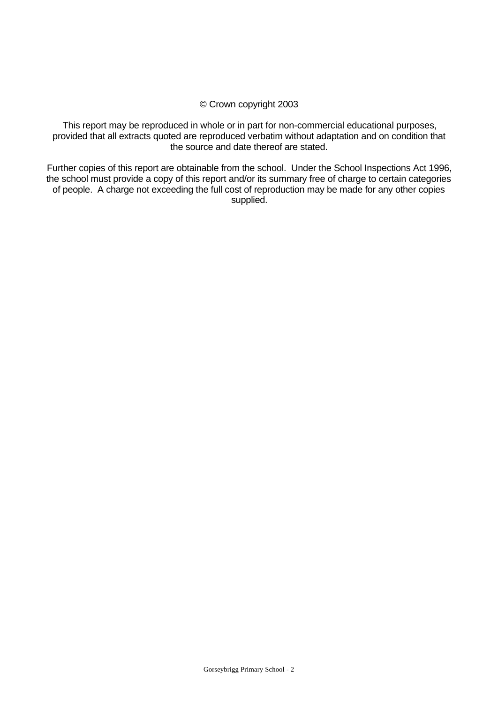# © Crown copyright 2003

This report may be reproduced in whole or in part for non-commercial educational purposes, provided that all extracts quoted are reproduced verbatim without adaptation and on condition that the source and date thereof are stated.

Further copies of this report are obtainable from the school. Under the School Inspections Act 1996, the school must provide a copy of this report and/or its summary free of charge to certain categories of people. A charge not exceeding the full cost of reproduction may be made for any other copies supplied.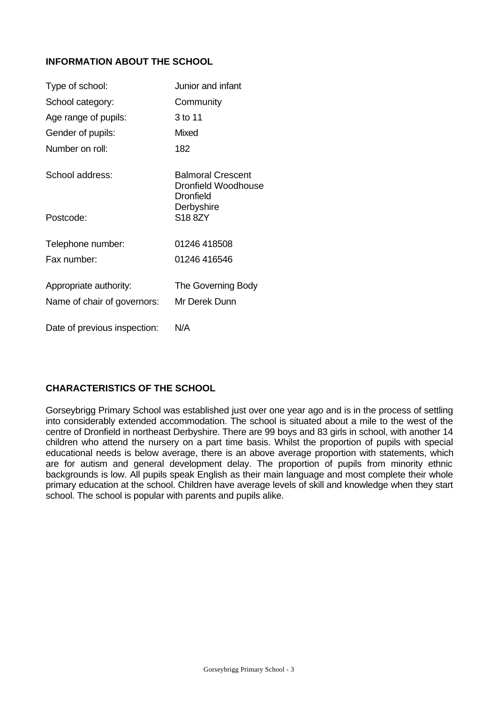# **INFORMATION ABOUT THE SCHOOL**

| Type of school:              | Junior and infant                                                   |
|------------------------------|---------------------------------------------------------------------|
| School category:             | Community                                                           |
| Age range of pupils:         | 3 to 11                                                             |
| Gender of pupils:            | Mixed                                                               |
| Number on roll:              | 182                                                                 |
| School address:              | <b>Balmoral Crescent</b><br>Dronfield Woodhouse<br><b>Dronfield</b> |
| Postcode:                    | Derbyshire<br>S18 8ZY                                               |
| Telephone number:            | 01246 418508                                                        |
| Fax number:                  | 01246 416546                                                        |
| Appropriate authority:       | The Governing Body                                                  |
| Name of chair of governors:  | Mr Derek Dunn                                                       |
| Date of previous inspection: | N/A                                                                 |

# **CHARACTERISTICS OF THE SCHOOL**

Gorseybrigg Primary School was established just over one year ago and is in the process of settling into considerably extended accommodation. The school is situated about a mile to the west of the centre of Dronfield in northeast Derbyshire. There are 99 boys and 83 girls in school, with another 14 children who attend the nursery on a part time basis. Whilst the proportion of pupils with special educational needs is below average, there is an above average proportion with statements, which are for autism and general development delay. The proportion of pupils from minority ethnic backgrounds is low. All pupils speak English as their main language and most complete their whole primary education at the school. Children have average levels of skill and knowledge when they start school. The school is popular with parents and pupils alike.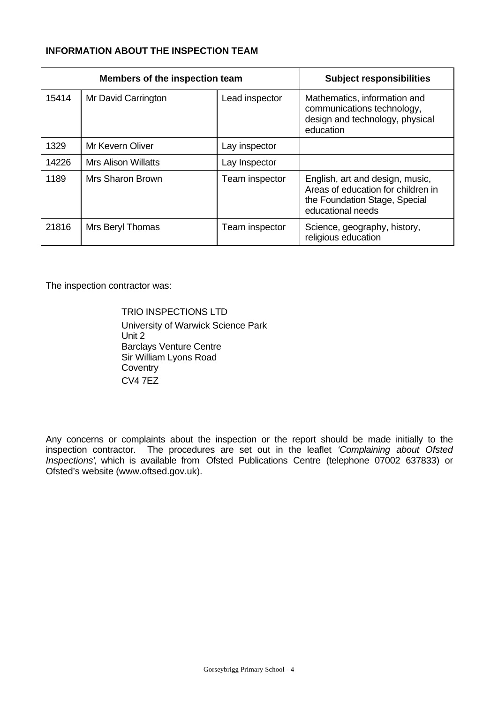# **INFORMATION ABOUT THE INSPECTION TEAM**

| Members of the inspection team |                            |                | <b>Subject responsibilities</b>                                                                                             |
|--------------------------------|----------------------------|----------------|-----------------------------------------------------------------------------------------------------------------------------|
| 15414                          | Mr David Carrington        | Lead inspector | Mathematics, information and<br>communications technology,<br>design and technology, physical<br>education                  |
| 1329                           | Mr Kevern Oliver           | Lay inspector  |                                                                                                                             |
| 14226                          | <b>Mrs Alison Willatts</b> | Lay Inspector  |                                                                                                                             |
| 1189                           | Mrs Sharon Brown           | Team inspector | English, art and design, music,<br>Areas of education for children in<br>the Foundation Stage, Special<br>educational needs |
| 21816                          | Mrs Beryl Thomas           | Team inspector | Science, geography, history,<br>religious education                                                                         |

The inspection contractor was:

TRIO INSPECTIONS LTD University of Warwick Science Park Unit 2 Barclays Venture Centre Sir William Lyons Road **Coventry** CV4 7EZ

Any concerns or complaints about the inspection or the report should be made initially to the inspection contractor. The procedures are set out in the leaflet *'Complaining about Ofsted Inspections'*, which is available from Ofsted Publications Centre (telephone 07002 637833) or Ofsted's website (www.oftsed.gov.uk).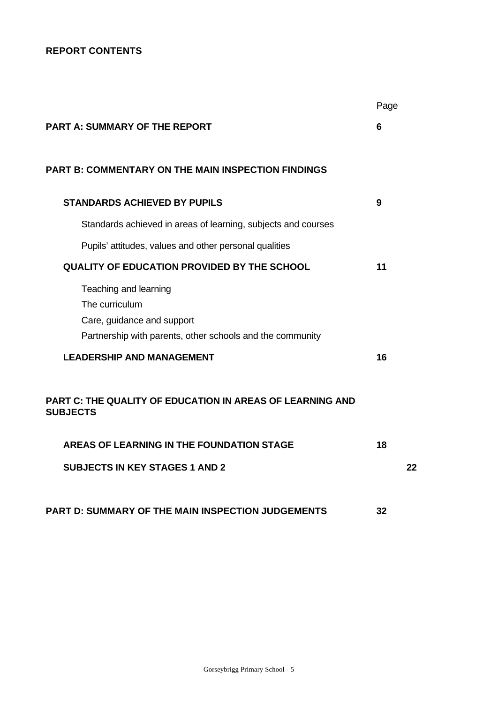# **REPORT CONTENTS**

|                                                                                                                                    | Page |    |
|------------------------------------------------------------------------------------------------------------------------------------|------|----|
| <b>PART A: SUMMARY OF THE REPORT</b>                                                                                               | 6    |    |
|                                                                                                                                    |      |    |
| <b>PART B: COMMENTARY ON THE MAIN INSPECTION FINDINGS</b>                                                                          |      |    |
| <b>STANDARDS ACHIEVED BY PUPILS</b>                                                                                                | 9    |    |
| Standards achieved in areas of learning, subjects and courses                                                                      |      |    |
| Pupils' attitudes, values and other personal qualities                                                                             |      |    |
| <b>QUALITY OF EDUCATION PROVIDED BY THE SCHOOL</b>                                                                                 | 11   |    |
| Teaching and learning<br>The curriculum<br>Care, guidance and support<br>Partnership with parents, other schools and the community |      |    |
| <b>LEADERSHIP AND MANAGEMENT</b>                                                                                                   | 16   |    |
| <b>PART C: THE QUALITY OF EDUCATION IN AREAS OF LEARNING AND</b><br><b>SUBJECTS</b>                                                |      |    |
| <b>AREAS OF LEARNING IN THE FOUNDATION STAGE</b>                                                                                   | 18   |    |
| <b>SUBJECTS IN KEY STAGES 1 AND 2</b>                                                                                              |      | 22 |
| <b>PART D: SUMMARY OF THE MAIN INSPECTION JUDGEMENTS</b>                                                                           | 32   |    |
|                                                                                                                                    |      |    |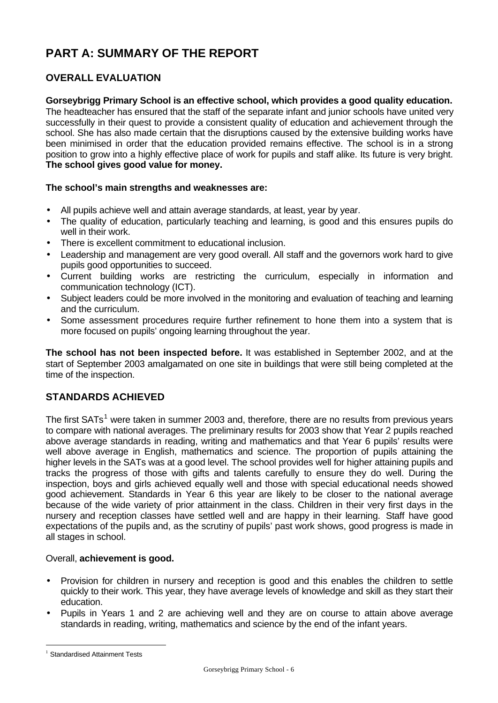# **PART A: SUMMARY OF THE REPORT**

# **OVERALL EVALUATION**

# **Gorseybrigg Primary School is an effective school, which provides a good quality education.**

The headteacher has ensured that the staff of the separate infant and junior schools have united very successfully in their quest to provide a consistent quality of education and achievement through the school. She has also made certain that the disruptions caused by the extensive building works have been minimised in order that the education provided remains effective. The school is in a strong position to grow into a highly effective place of work for pupils and staff alike. Its future is very bright. **The school gives good value for money.**

# **The school's main strengths and weaknesses are:**

- All pupils achieve well and attain average standards, at least, year by year.
- The quality of education, particularly teaching and learning, is good and this ensures pupils do well in their work.
- There is excellent commitment to educational inclusion.
- Leadership and management are very good overall. All staff and the governors work hard to give pupils good opportunities to succeed.
- Current building works are restricting the curriculum, especially in information and communication technology (ICT).
- Subject leaders could be more involved in the monitoring and evaluation of teaching and learning and the curriculum.
- Some assessment procedures require further refinement to hone them into a system that is more focused on pupils' ongoing learning throughout the year.

**The school has not been inspected before.** It was established in September 2002, and at the start of September 2003 amalgamated on one site in buildings that were still being completed at the time of the inspection.

# **STANDARDS ACHIEVED**

The first SATs<sup>1</sup> were taken in summer 2003 and, therefore, there are no results from previous years to compare with national averages. The preliminary results for 2003 show that Year 2 pupils reached above average standards in reading, writing and mathematics and that Year 6 pupils' results were well above average in English, mathematics and science. The proportion of pupils attaining the higher levels in the SATs was at a good level. The school provides well for higher attaining pupils and tracks the progress of those with gifts and talents carefully to ensure they do well. During the inspection, boys and girls achieved equally well and those with special educational needs showed good achievement. Standards in Year 6 this year are likely to be closer to the national average because of the wide variety of prior attainment in the class. Children in their very first days in the nursery and reception classes have settled well and are happy in their learning. Staff have good expectations of the pupils and, as the scrutiny of pupils' past work shows, good progress is made in all stages in school.

# Overall, **achievement is good.**

- Provision for children in nursery and reception is good and this enables the children to settle quickly to their work. This year, they have average levels of knowledge and skill as they start their education.
- Pupils in Years 1 and 2 are achieving well and they are on course to attain above average standards in reading, writing, mathematics and science by the end of the infant years.

l

<sup>&</sup>lt;sup>1</sup> Standardised Attainment Tests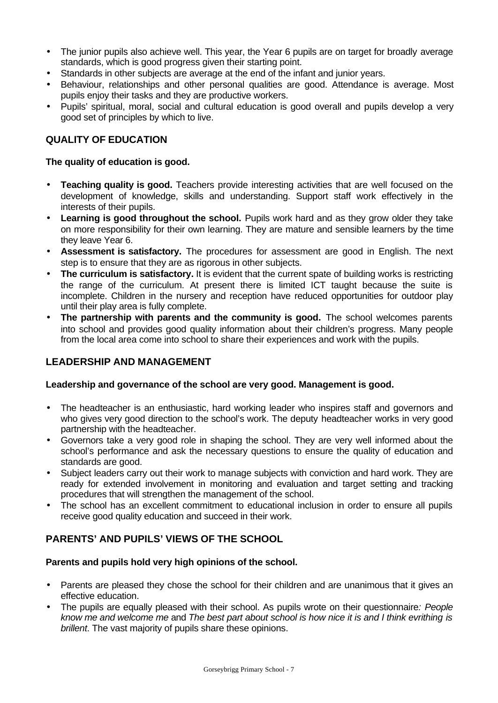- The junior pupils also achieve well. This year, the Year 6 pupils are on target for broadly average standards, which is good progress given their starting point.
- Standards in other subjects are average at the end of the infant and junior years.
- Behaviour, relationships and other personal qualities are good. Attendance is average. Most pupils enjoy their tasks and they are productive workers.
- Pupils' spiritual, moral, social and cultural education is good overall and pupils develop a very good set of principles by which to live.

# **QUALITY OF EDUCATION**

# **The quality of education is good.**

- **Teaching quality is good.** Teachers provide interesting activities that are well focused on the development of knowledge, skills and understanding. Support staff work effectively in the interests of their pupils.
- Learning is good throughout the school. Pupils work hard and as they grow older they take on more responsibility for their own learning. They are mature and sensible learners by the time they leave Year 6.
- **Assessment is satisfactory.** The procedures for assessment are good in English. The next step is to ensure that they are as rigorous in other subjects.
- **The curriculum is satisfactory.** It is evident that the current spate of building works is restricting the range of the curriculum. At present there is limited ICT taught because the suite is incomplete. Children in the nursery and reception have reduced opportunities for outdoor play until their play area is fully complete.
- **The partnership with parents and the community is good.** The school welcomes parents into school and provides good quality information about their children's progress. Many people from the local area come into school to share their experiences and work with the pupils.

# **LEADERSHIP AND MANAGEMENT**

# **Leadership and governance of the school are very good. Management is good.**

- The headteacher is an enthusiastic, hard working leader who inspires staff and governors and who gives very good direction to the school's work. The deputy headteacher works in very good partnership with the headteacher.
- Governors take a very good role in shaping the school. They are very well informed about the school's performance and ask the necessary questions to ensure the quality of education and standards are good.
- Subject leaders carry out their work to manage subjects with conviction and hard work. They are ready for extended involvement in monitoring and evaluation and target setting and tracking procedures that will strengthen the management of the school.
- The school has an excellent commitment to educational inclusion in order to ensure all pupils receive good quality education and succeed in their work.

# **PARENTS' AND PUPILS' VIEWS OF THE SCHOOL**

# **Parents and pupils hold very high opinions of the school.**

- Parents are pleased they chose the school for their children and are unanimous that it gives an effective education.
- The pupils are equally pleased with their school. As pupils wrote on their questionnaire*: People know me and welcome me* and *The best part about school is how nice it is and I think evrithing is brillent*. The vast majority of pupils share these opinions.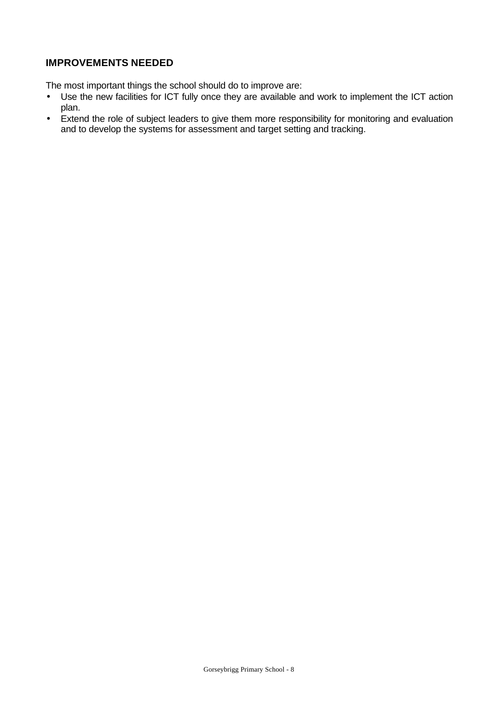# **IMPROVEMENTS NEEDED**

The most important things the school should do to improve are:

- Use the new facilities for ICT fully once they are available and work to implement the ICT action plan.
- Extend the role of subject leaders to give them more responsibility for monitoring and evaluation and to develop the systems for assessment and target setting and tracking.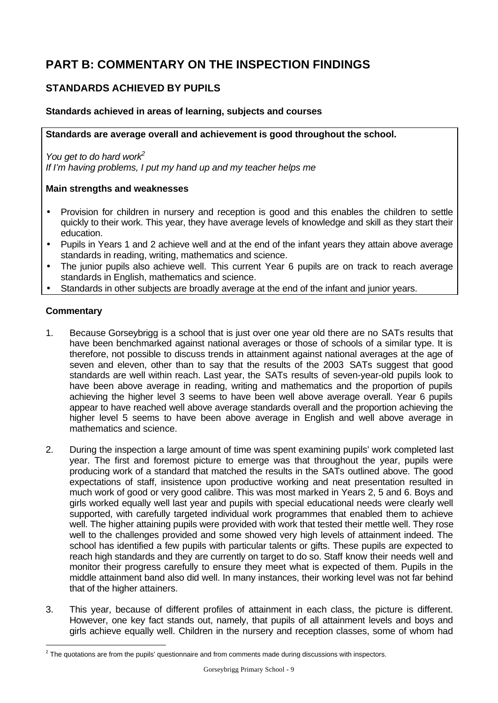# **PART B: COMMENTARY ON THE INSPECTION FINDINGS**

# **STANDARDS ACHIEVED BY PUPILS**

# **Standards achieved in areas of learning, subjects and courses**

**Standards are average overall and achievement is good throughout the school.**

*You get to do hard work<sup>2</sup> If I'm having problems, I put my hand up and my teacher helps me*

# **Main strengths and weaknesses**

- Provision for children in nursery and reception is good and this enables the children to settle quickly to their work. This year, they have average levels of knowledge and skill as they start their education.
- Pupils in Years 1 and 2 achieve well and at the end of the infant years they attain above average standards in reading, writing, mathematics and science.
- The junior pupils also achieve well. This current Year 6 pupils are on track to reach average standards in English, mathematics and science.
- Standards in other subjects are broadly average at the end of the infant and junior years.

#### **Commentary**

l

- 1. Because Gorseybrigg is a school that is just over one year old there are no SATs results that have been benchmarked against national averages or those of schools of a similar type. It is therefore, not possible to discuss trends in attainment against national averages at the age of seven and eleven, other than to say that the results of the 2003 SATs suggest that good standards are well within reach. Last year, the SATs results of seven-year-old pupils look to have been above average in reading, writing and mathematics and the proportion of pupils achieving the higher level 3 seems to have been well above average overall. Year 6 pupils appear to have reached well above average standards overall and the proportion achieving the higher level 5 seems to have been above average in English and well above average in mathematics and science.
- 2. During the inspection a large amount of time was spent examining pupils' work completed last year. The first and foremost picture to emerge was that throughout the year, pupils were producing work of a standard that matched the results in the SATs outlined above. The good expectations of staff, insistence upon productive working and neat presentation resulted in much work of good or very good calibre. This was most marked in Years 2, 5 and 6. Boys and girls worked equally well last year and pupils with special educational needs were clearly well supported, with carefully targeted individual work programmes that enabled them to achieve well. The higher attaining pupils were provided with work that tested their mettle well. They rose well to the challenges provided and some showed very high levels of attainment indeed. The school has identified a few pupils with particular talents or gifts. These pupils are expected to reach high standards and they are currently on target to do so. Staff know their needs well and monitor their progress carefully to ensure they meet what is expected of them. Pupils in the middle attainment band also did well. In many instances, their working level was not far behind that of the higher attainers.
- 3. This year, because of different profiles of attainment in each class, the picture is different. However, one key fact stands out, namely, that pupils of all attainment levels and boys and girls achieve equally well. Children in the nursery and reception classes, some of whom had

 $^2$  The quotations are from the pupils' questionnaire and from comments made during discussions with inspectors.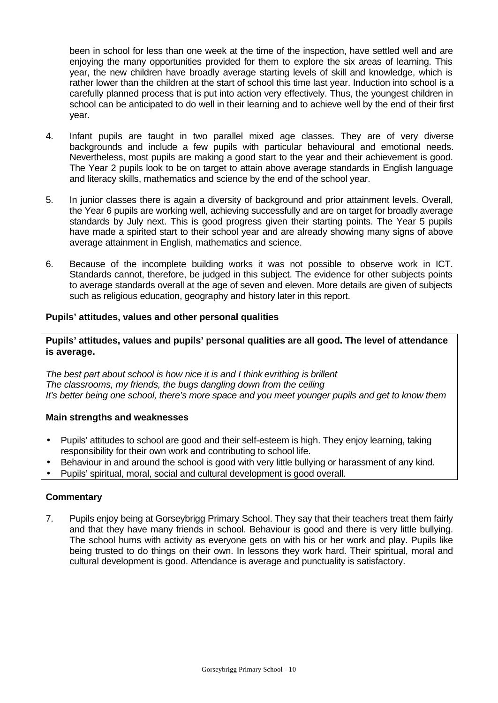been in school for less than one week at the time of the inspection, have settled well and are enjoying the many opportunities provided for them to explore the six areas of learning. This year, the new children have broadly average starting levels of skill and knowledge, which is rather lower than the children at the start of school this time last year. Induction into school is a carefully planned process that is put into action very effectively. Thus, the youngest children in school can be anticipated to do well in their learning and to achieve well by the end of their first year.

- 4. Infant pupils are taught in two parallel mixed age classes. They are of very diverse backgrounds and include a few pupils with particular behavioural and emotional needs. Nevertheless, most pupils are making a good start to the year and their achievement is good. The Year 2 pupils look to be on target to attain above average standards in English language and literacy skills, mathematics and science by the end of the school year.
- 5. In junior classes there is again a diversity of background and prior attainment levels. Overall, the Year 6 pupils are working well, achieving successfully and are on target for broadly average standards by July next. This is good progress given their starting points. The Year 5 pupils have made a spirited start to their school year and are already showing many signs of above average attainment in English, mathematics and science.
- 6. Because of the incomplete building works it was not possible to observe work in ICT. Standards cannot, therefore, be judged in this subject. The evidence for other subjects points to average standards overall at the age of seven and eleven. More details are given of subjects such as religious education, geography and history later in this report.

# **Pupils' attitudes, values and other personal qualities**

**Pupils' attitudes, values and pupils' personal qualities are all good. The level of attendance is average.**

*The best part about school is how nice it is and I think evrithing is brillent The classrooms, my friends, the bugs dangling down from the ceiling It's better being one school, there's more space and you meet younger pupils and get to know them*

#### **Main strengths and weaknesses**

- Pupils' attitudes to school are good and their self-esteem is high. They enjoy learning, taking responsibility for their own work and contributing to school life.
- Behaviour in and around the school is good with very little bullying or harassment of any kind.
- Pupils' spiritual, moral, social and cultural development is good overall.

#### **Commentary**

7. Pupils enjoy being at Gorseybrigg Primary School. They say that their teachers treat them fairly and that they have many friends in school. Behaviour is good and there is very little bullying. The school hums with activity as everyone gets on with his or her work and play. Pupils like being trusted to do things on their own. In lessons they work hard. Their spiritual, moral and cultural development is good. Attendance is average and punctuality is satisfactory.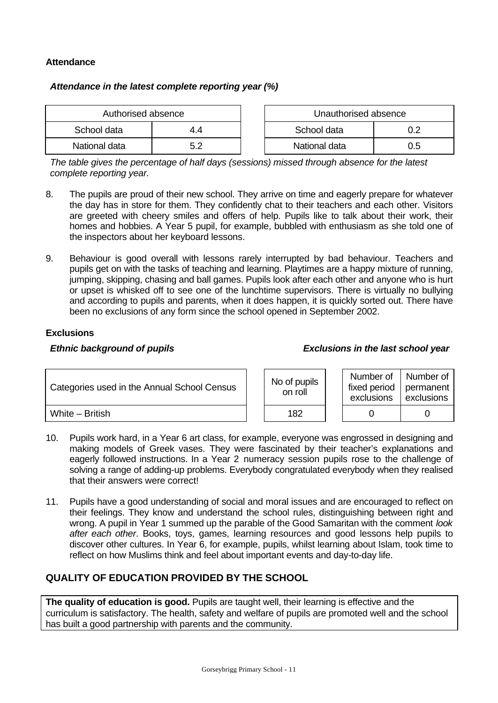# **Attendance**

# *Attendance in the latest complete reporting year (%)*

| Authorised absence |    |  | Unauthorised absence |     |
|--------------------|----|--|----------------------|-----|
| School data        | 44 |  | School data          |     |
| National data      |    |  | National data        | ა.ხ |

*The table gives the percentage of half days (sessions) missed through absence for the latest complete reporting year.*

- 8. The pupils are proud of their new school. They arrive on time and eagerly prepare for whatever the day has in store for them. They confidently chat to their teachers and each other. Visitors are greeted with cheery smiles and offers of help. Pupils like to talk about their work, their homes and hobbies. A Year 5 pupil, for example, bubbled with enthusiasm as she told one of the inspectors about her keyboard lessons.
- 9. Behaviour is good overall with lessons rarely interrupted by bad behaviour. Teachers and pupils get on with the tasks of teaching and learning. Playtimes are a happy mixture of running, jumping, skipping, chasing and ball games. Pupils look after each other and anyone who is hurt or upset is whisked off to see one of the lunchtime supervisors. There is virtually no bullying and according to pupils and parents, when it does happen, it is quickly sorted out. There have been no exclusions of any form since the school opened in September 2002.

# **Exclusions**

#### *Ethnic background of pupils Exclusions in the last school year*

| Categories used in the Annual School Census |  | No of pupils<br>on roll | Number of<br>fixed period<br>exclusions | I Number of<br>permanent<br>exclusions |
|---------------------------------------------|--|-------------------------|-----------------------------------------|----------------------------------------|
| White - British                             |  | 182                     |                                         |                                        |

- 10. Pupils work hard, in a Year 6 art class, for example, everyone was engrossed in designing and making models of Greek vases. They were fascinated by their teacher's explanations and eagerly followed instructions. In a Year 2 numeracy session pupils rose to the challenge of solving a range of adding-up problems. Everybody congratulated everybody when they realised that their answers were correct!
- 11. Pupils have a good understanding of social and moral issues and are encouraged to reflect on their feelings. They know and understand the school rules, distinguishing between right and wrong. A pupil in Year 1 summed up the parable of the Good Samaritan with the comment *look after each other*. Books, toys, games, learning resources and good lessons help pupils to discover other cultures. In Year 6, for example, pupils, whilst learning about Islam, took time to reflect on how Muslims think and feel about important events and day-to-day life.

# **QUALITY OF EDUCATION PROVIDED BY THE SCHOOL**

**The quality of education is good.** Pupils are taught well, their learning is effective and the curriculum is satisfactory. The health, safety and welfare of pupils are promoted well and the school has built a good partnership with parents and the community.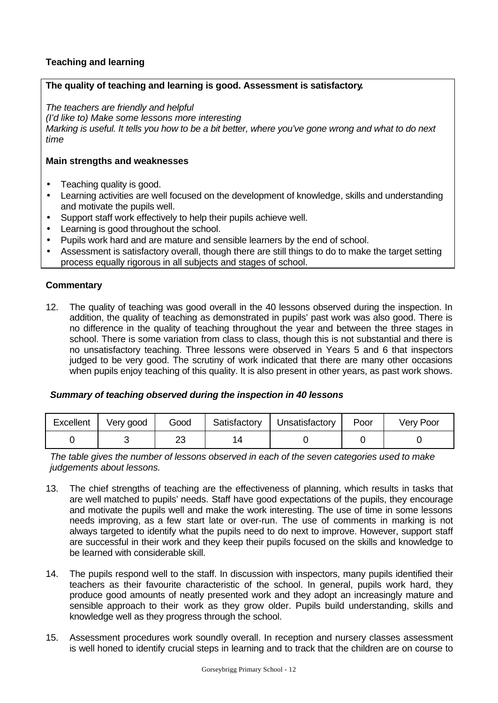# **Teaching and learning**

# **The quality of teaching and learning is good. Assessment is satisfactory***.*

*The teachers are friendly and helpful*

*(I'd like to) Make some lessons more interesting*

*Marking is useful. It tells you how to be a bit better, where you've gone wrong and what to do next time*

### **Main strengths and weaknesses**

- Teaching quality is good.
- Learning activities are well focused on the development of knowledge, skills and understanding and motivate the pupils well.
- Support staff work effectively to help their pupils achieve well.
- Learning is good throughout the school.
- Pupils work hard and are mature and sensible learners by the end of school.
- Assessment is satisfactory overall, though there are still things to do to make the target setting process equally rigorous in all subjects and stages of school.

#### **Commentary**

12. The quality of teaching was good overall in the 40 lessons observed during the inspection. In addition, the quality of teaching as demonstrated in pupils' past work was also good. There is no difference in the quality of teaching throughout the year and between the three stages in school. There is some variation from class to class, though this is not substantial and there is no unsatisfactory teaching. Three lessons were observed in Years 5 and 6 that inspectors judged to be very good. The scrutiny of work indicated that there are many other occasions when pupils enjoy teaching of this quality. It is also present in other years, as past work shows.

#### *Summary of teaching observed during the inspection in 40 lessons*

| Excellent | Very good | Good     | Satisfactory | Unsatisfactory | Poor | Very Poor |
|-----------|-----------|----------|--------------|----------------|------|-----------|
|           |           | ററ<br>∠∪ |              |                |      |           |

*The table gives the number of lessons observed in each of the seven categories used to make judgements about lessons.*

- 13. The chief strengths of teaching are the effectiveness of planning, which results in tasks that are well matched to pupils' needs. Staff have good expectations of the pupils, they encourage and motivate the pupils well and make the work interesting. The use of time in some lessons needs improving, as a few start late or over-run. The use of comments in marking is not always targeted to identify what the pupils need to do next to improve. However, support staff are successful in their work and they keep their pupils focused on the skills and knowledge to be learned with considerable skill.
- 14. The pupils respond well to the staff. In discussion with inspectors, many pupils identified their teachers as their favourite characteristic of the school. In general, pupils work hard, they produce good amounts of neatly presented work and they adopt an increasingly mature and sensible approach to their work as they grow older. Pupils build understanding, skills and knowledge well as they progress through the school.
- 15. Assessment procedures work soundly overall. In reception and nursery classes assessment is well honed to identify crucial steps in learning and to track that the children are on course to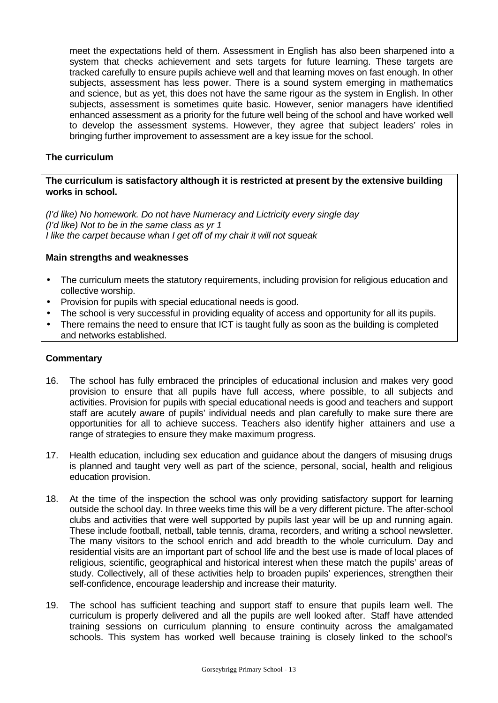meet the expectations held of them. Assessment in English has also been sharpened into a system that checks achievement and sets targets for future learning. These targets are tracked carefully to ensure pupils achieve well and that learning moves on fast enough. In other subjects, assessment has less power. There is a sound system emerging in mathematics and science, but as yet, this does not have the same rigour as the system in English. In other subjects, assessment is sometimes quite basic. However, senior managers have identified enhanced assessment as a priority for the future well being of the school and have worked well to develop the assessment systems. However, they agree that subject leaders' roles in bringing further improvement to assessment are a key issue for the school.

# **The curriculum**

# **The curriculum is satisfactory although it is restricted at present by the extensive building works in school.**

*(I'd like) No homework. Do not have Numeracy and Lictricity every single day (I'd like) Not to be in the same class as yr 1 I like the carpet because whan I get off of my chair it will not squeak*

#### **Main strengths and weaknesses**

- The curriculum meets the statutory requirements, including provision for religious education and collective worship.
- Provision for pupils with special educational needs is good.
- The school is very successful in providing equality of access and opportunity for all its pupils.
- There remains the need to ensure that ICT is taught fully as soon as the building is completed and networks established.

- 16. The school has fully embraced the principles of educational inclusion and makes very good provision to ensure that all pupils have full access, where possible, to all subjects and activities. Provision for pupils with special educational needs is good and teachers and support staff are acutely aware of pupils' individual needs and plan carefully to make sure there are opportunities for all to achieve success. Teachers also identify higher attainers and use a range of strategies to ensure they make maximum progress.
- 17. Health education, including sex education and guidance about the dangers of misusing drugs is planned and taught very well as part of the science, personal, social, health and religious education provision.
- 18. At the time of the inspection the school was only providing satisfactory support for learning outside the school day. In three weeks time this will be a very different picture. The after-school clubs and activities that were well supported by pupils last year will be up and running again. These include football, netball, table tennis, drama, recorders, and writing a school newsletter. The many visitors to the school enrich and add breadth to the whole curriculum. Day and residential visits are an important part of school life and the best use is made of local places of religious, scientific, geographical and historical interest when these match the pupils' areas of study. Collectively, all of these activities help to broaden pupils' experiences, strengthen their self-confidence, encourage leadership and increase their maturity.
- 19. The school has sufficient teaching and support staff to ensure that pupils learn well. The curriculum is properly delivered and all the pupils are well looked after. Staff have attended training sessions on curriculum planning to ensure continuity across the amalgamated schools. This system has worked well because training is closely linked to the school's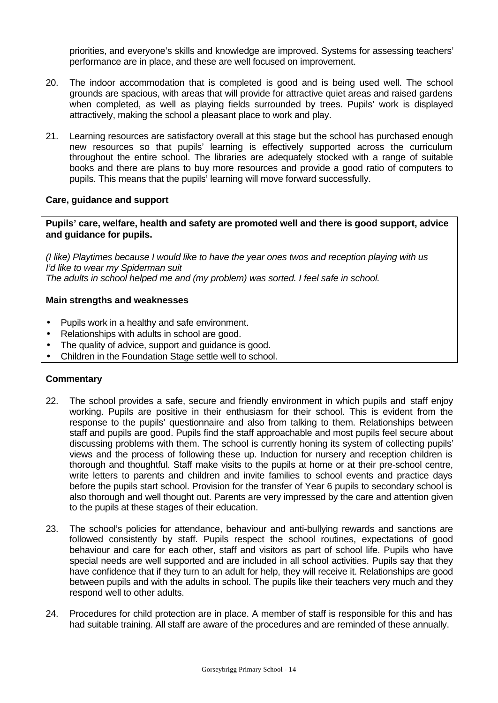priorities, and everyone's skills and knowledge are improved. Systems for assessing teachers' performance are in place, and these are well focused on improvement.

- 20. The indoor accommodation that is completed is good and is being used well. The school grounds are spacious, with areas that will provide for attractive quiet areas and raised gardens when completed, as well as playing fields surrounded by trees. Pupils' work is displayed attractively, making the school a pleasant place to work and play.
- 21. Learning resources are satisfactory overall at this stage but the school has purchased enough new resources so that pupils' learning is effectively supported across the curriculum throughout the entire school. The libraries are adequately stocked with a range of suitable books and there are plans to buy more resources and provide a good ratio of computers to pupils. This means that the pupils' learning will move forward successfully.

# **Care, guidance and support**

**Pupils' care, welfare, health and safety are promoted well and there is good support, advice and guidance for pupils.**

*(I like) Playtimes because I would like to have the year ones twos and reception playing with us I'd like to wear my Spiderman suit The adults in school helped me and (my problem) was sorted. I feel safe in school.*

#### **Main strengths and weaknesses**

- Pupils work in a healthy and safe environment.
- Relationships with adults in school are good.
- The quality of advice, support and quidance is good.
- Children in the Foundation Stage settle well to school.

- 22. The school provides a safe, secure and friendly environment in which pupils and staff enjoy working. Pupils are positive in their enthusiasm for their school. This is evident from the response to the pupils' questionnaire and also from talking to them. Relationships between staff and pupils are good. Pupils find the staff approachable and most pupils feel secure about discussing problems with them. The school is currently honing its system of collecting pupils' views and the process of following these up. Induction for nursery and reception children is thorough and thoughtful. Staff make visits to the pupils at home or at their pre-school centre, write letters to parents and children and invite families to school events and practice days before the pupils start school. Provision for the transfer of Year 6 pupils to secondary school is also thorough and well thought out. Parents are very impressed by the care and attention given to the pupils at these stages of their education.
- 23. The school's policies for attendance, behaviour and anti-bullying rewards and sanctions are followed consistently by staff. Pupils respect the school routines, expectations of good behaviour and care for each other, staff and visitors as part of school life. Pupils who have special needs are well supported and are included in all school activities. Pupils say that they have confidence that if they turn to an adult for help, they will receive it. Relationships are good between pupils and with the adults in school. The pupils like their teachers very much and they respond well to other adults.
- 24. Procedures for child protection are in place. A member of staff is responsible for this and has had suitable training. All staff are aware of the procedures and are reminded of these annually.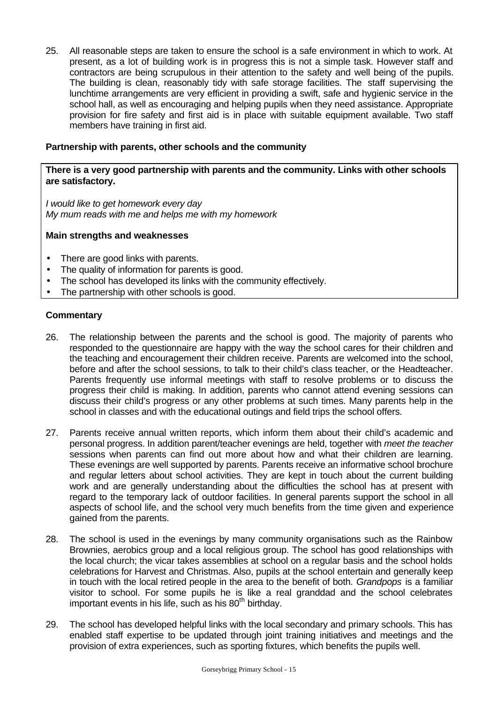25. All reasonable steps are taken to ensure the school is a safe environment in which to work. At present, as a lot of building work is in progress this is not a simple task. However staff and contractors are being scrupulous in their attention to the safety and well being of the pupils. The building is clean, reasonably tidy with safe storage facilities. The staff supervising the lunchtime arrangements are very efficient in providing a swift, safe and hygienic service in the school hall, as well as encouraging and helping pupils when they need assistance. Appropriate provision for fire safety and first aid is in place with suitable equipment available. Two staff members have training in first aid.

### **Partnership with parents, other schools and the community**

# **There is a very good partnership with parents and the community. Links with other schools are satisfactory.**

*I would like to get homework every day My mum reads with me and helps me with my homework*

#### **Main strengths and weaknesses**

- There are good links with parents.
- The quality of information for parents is good.
- The school has developed its links with the community effectively.
- The partnership with other schools is good.

- 26. The relationship between the parents and the school is good. The majority of parents who responded to the questionnaire are happy with the way the school cares for their children and the teaching and encouragement their children receive. Parents are welcomed into the school, before and after the school sessions, to talk to their child's class teacher, or the Headteacher. Parents frequently use informal meetings with staff to resolve problems or to discuss the progress their child is making. In addition, parents who cannot attend evening sessions can discuss their child's progress or any other problems at such times. Many parents help in the school in classes and with the educational outings and field trips the school offers.
- 27. Parents receive annual written reports, which inform them about their child's academic and personal progress. In addition parent/teacher evenings are held, together with *meet the teacher* sessions when parents can find out more about how and what their children are learning. These evenings are well supported by parents. Parents receive an informative school brochure and regular letters about school activities. They are kept in touch about the current building work and are generally understanding about the difficulties the school has at present with regard to the temporary lack of outdoor facilities. In general parents support the school in all aspects of school life, and the school very much benefits from the time given and experience gained from the parents.
- 28. The school is used in the evenings by many community organisations such as the Rainbow Brownies, aerobics group and a local religious group. The school has good relationships with the local church; the vicar takes assemblies at school on a regular basis and the school holds celebrations for Harvest and Christmas. Also, pupils at the school entertain and generally keep in touch with the local retired people in the area to the benefit of both. *Grandpops* is a familiar visitor to school. For some pupils he is like a real granddad and the school celebrates important events in his life, such as his  $80<sup>th</sup>$  birthday.
- 29. The school has developed helpful links with the local secondary and primary schools. This has enabled staff expertise to be updated through joint training initiatives and meetings and the provision of extra experiences, such as sporting fixtures, which benefits the pupils well.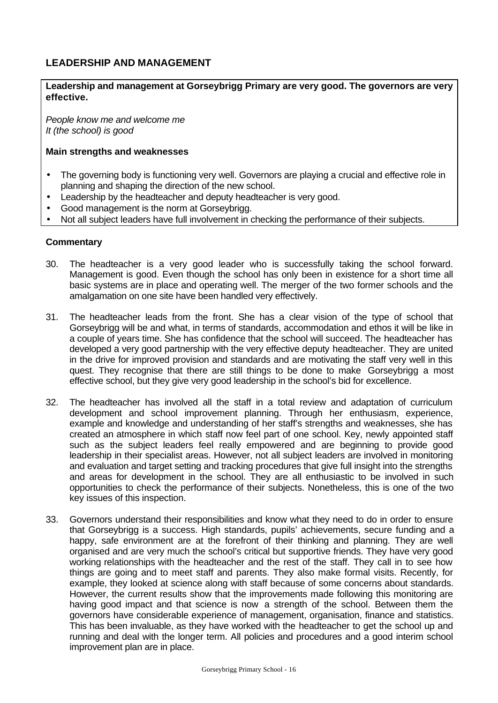# **LEADERSHIP AND MANAGEMENT**

# **Leadership and management at Gorseybrigg Primary are very good. The governors are very effective.**

*People know me and welcome me It (the school) is good*

### **Main strengths and weaknesses**

- The governing body is functioning very well. Governors are playing a crucial and effective role in planning and shaping the direction of the new school.
- Leadership by the headteacher and deputy headteacher is very good.
- Good management is the norm at Gorseybrigg.
- Not all subject leaders have full involvement in checking the performance of their subjects.

- 30. The headteacher is a very good leader who is successfully taking the school forward. Management is good. Even though the school has only been in existence for a short time all basic systems are in place and operating well. The merger of the two former schools and the amalgamation on one site have been handled very effectively.
- 31. The headteacher leads from the front. She has a clear vision of the type of school that Gorseybrigg will be and what, in terms of standards, accommodation and ethos it will be like in a couple of years time. She has confidence that the school will succeed. The headteacher has developed a very good partnership with the very effective deputy headteacher. They are united in the drive for improved provision and standards and are motivating the staff very well in this quest. They recognise that there are still things to be done to make Gorseybrigg a most effective school, but they give very good leadership in the school's bid for excellence.
- 32. The headteacher has involved all the staff in a total review and adaptation of curriculum development and school improvement planning. Through her enthusiasm, experience, example and knowledge and understanding of her staff's strengths and weaknesses, she has created an atmosphere in which staff now feel part of one school. Key, newly appointed staff such as the subject leaders feel really empowered and are beginning to provide good leadership in their specialist areas. However, not all subject leaders are involved in monitoring and evaluation and target setting and tracking procedures that give full insight into the strengths and areas for development in the school. They are all enthusiastic to be involved in such opportunities to check the performance of their subjects. Nonetheless, this is one of the two key issues of this inspection.
- 33. Governors understand their responsibilities and know what they need to do in order to ensure that Gorseybrigg is a success. High standards, pupils' achievements, secure funding and a happy, safe environment are at the forefront of their thinking and planning. They are well organised and are very much the school's critical but supportive friends. They have very good working relationships with the headteacher and the rest of the staff. They call in to see how things are going and to meet staff and parents. They also make formal visits. Recently, for example, they looked at science along with staff because of some concerns about standards. However, the current results show that the improvements made following this monitoring are having good impact and that science is now a strength of the school. Between them the governors have considerable experience of management, organisation, finance and statistics. This has been invaluable, as they have worked with the headteacher to get the school up and running and deal with the longer term. All policies and procedures and a good interim school improvement plan are in place.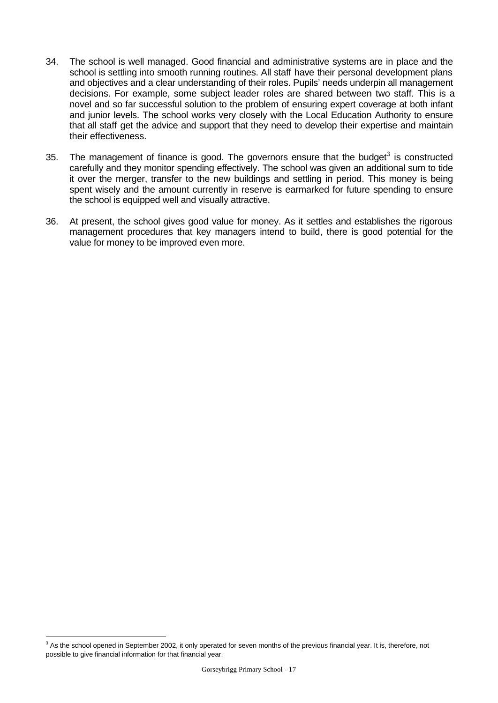- 34. The school is well managed. Good financial and administrative systems are in place and the school is settling into smooth running routines. All staff have their personal development plans and objectives and a clear understanding of their roles. Pupils' needs underpin all management decisions. For example, some subject leader roles are shared between two staff. This is a novel and so far successful solution to the problem of ensuring expert coverage at both infant and junior levels. The school works very closely with the Local Education Authority to ensure that all staff get the advice and support that they need to develop their expertise and maintain their effectiveness.
- 35. The management of finance is good. The governors ensure that the budget<sup>3</sup> is constructed carefully and they monitor spending effectively. The school was given an additional sum to tide it over the merger, transfer to the new buildings and settling in period. This money is being spent wisely and the amount currently in reserve is earmarked for future spending to ensure the school is equipped well and visually attractive.
- 36. At present, the school gives good value for money. As it settles and establishes the rigorous management procedures that key managers intend to build, there is good potential for the value for money to be improved even more.

l

 $3$  As the school opened in September 2002, it only operated for seven months of the previous financial year. It is, therefore, not possible to give financial information for that financial year.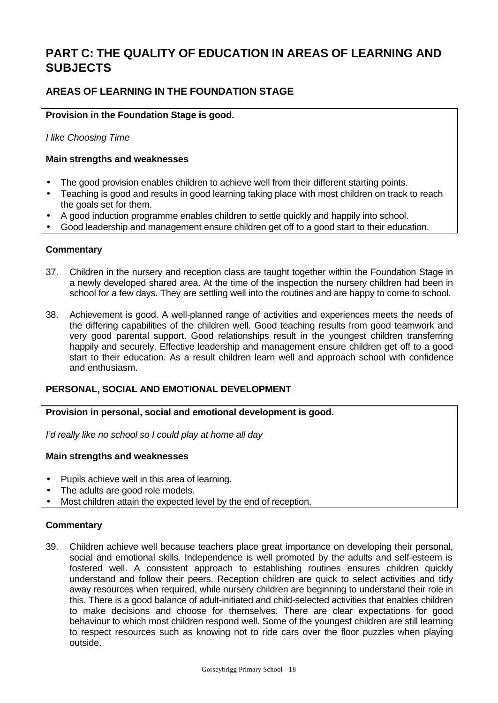# **PART C: THE QUALITY OF EDUCATION IN AREAS OF LEARNING AND SUBJECTS**

# **AREAS OF LEARNING IN THE FOUNDATION STAGE**

# **Provision in the Foundation Stage is good.**

*I like Choosing Time*

# **Main strengths and weaknesses**

- The good provision enables children to achieve well from their different starting points.
- Teaching is good and results in good learning taking place with most children on track to reach the goals set for them.
- A good induction programme enables children to settle quickly and happily into school.
- Good leadership and management ensure children get off to a good start to their education.

# **Commentary**

- 37. Children in the nursery and reception class are taught together within the Foundation Stage in a newly developed shared area. At the time of the inspection the nursery children had been in school for a few days. They are settling well into the routines and are happy to come to school.
- 38. Achievement is good. A well-planned range of activities and experiences meets the needs of the differing capabilities of the children well. Good teaching results from good teamwork and very good parental support. Good relationships result in the youngest children transferring happily and securely. Effective leadership and management ensure children get off to a good start to their education. As a result children learn well and approach school with confidence and enthusiasm.

# **PERSONAL, SOCIAL AND EMOTIONAL DEVELOPMENT**

**Provision in personal, social and emotional development is good.**

*I'd really like no school so I could play at home all day*

# **Main strengths and weaknesses**

- Pupils achieve well in this area of learning.
- The adults are good role models.
- Most children attain the expected level by the end of reception.

# **Commentary**

39. Children achieve well because teachers place great importance on developing their personal, social and emotional skills. Independence is well promoted by the adults and self-esteem is fostered well. A consistent approach to establishing routines ensures children quickly understand and follow their peers. Reception children are quick to select activities and tidy away resources when required, while nursery children are beginning to understand their role in this. There is a good balance of adult-initiated and child-selected activities that enables children to make decisions and choose for themselves. There are clear expectations for good behaviour to which most children respond well. Some of the youngest children are still learning to respect resources such as knowing not to ride cars over the floor puzzles when playing outside.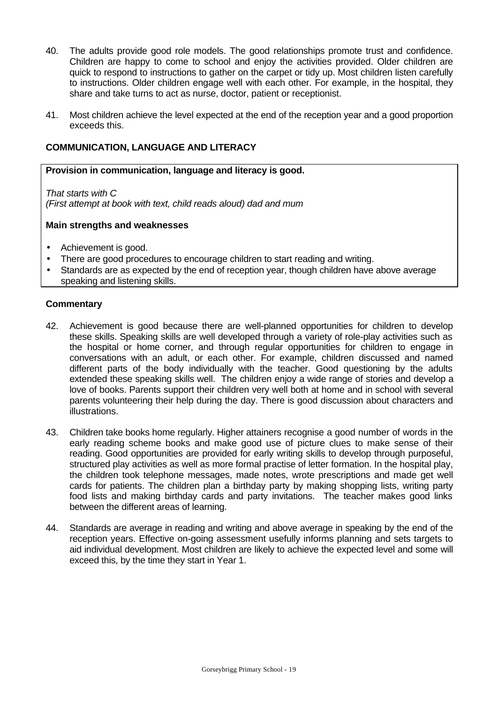- 40. The adults provide good role models. The good relationships promote trust and confidence. Children are happy to come to school and enjoy the activities provided. Older children are quick to respond to instructions to gather on the carpet or tidy up. Most children listen carefully to instructions. Older children engage well with each other. For example, in the hospital, they share and take turns to act as nurse, doctor, patient or receptionist.
- 41. Most children achieve the level expected at the end of the reception year and a good proportion exceeds this.

# **COMMUNICATION, LANGUAGE AND LITERACY**

#### **Provision in communication, language and literacy is good.**

*That starts with C (First attempt at book with text, child reads aloud) dad and mum*

#### **Main strengths and weaknesses**

- Achievement is good.
- There are good procedures to encourage children to start reading and writing.
- Standards are as expected by the end of reception year, though children have above average speaking and listening skills.

- 42. Achievement is good because there are well-planned opportunities for children to develop these skills. Speaking skills are well developed through a variety of role-play activities such as the hospital or home corner, and through regular opportunities for children to engage in conversations with an adult, or each other. For example, children discussed and named different parts of the body individually with the teacher. Good questioning by the adults extended these speaking skills well. The children enjoy a wide range of stories and develop a love of books. Parents support their children very well both at home and in school with several parents volunteering their help during the day. There is good discussion about characters and illustrations.
- 43. Children take books home regularly. Higher attainers recognise a good number of words in the early reading scheme books and make good use of picture clues to make sense of their reading. Good opportunities are provided for early writing skills to develop through purposeful, structured play activities as well as more formal practise of letter formation. In the hospital play, the children took telephone messages, made notes, wrote prescriptions and made get well cards for patients. The children plan a birthday party by making shopping lists, writing party food lists and making birthday cards and party invitations. The teacher makes good links between the different areas of learning.
- 44. Standards are average in reading and writing and above average in speaking by the end of the reception years. Effective on-going assessment usefully informs planning and sets targets to aid individual development. Most children are likely to achieve the expected level and some will exceed this, by the time they start in Year 1.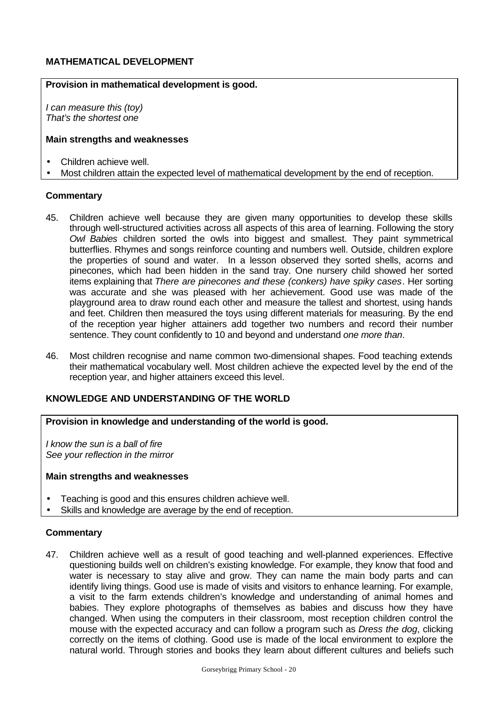# **MATHEMATICAL DEVELOPMENT**

#### **Provision in mathematical development is good.**

*I can measure this (toy) That's the shortest one*

#### **Main strengths and weaknesses**

- Children achieve well.
- Most children attain the expected level of mathematical development by the end of reception.

#### **Commentary**

- 45. Children achieve well because they are given many opportunities to develop these skills through well-structured activities across all aspects of this area of learning. Following the story *Owl Babies* children sorted the owls into biggest and smallest. They paint symmetrical butterflies. Rhymes and songs reinforce counting and numbers well. Outside, children explore the properties of sound and water. In a lesson observed they sorted shells, acorns and pinecones, which had been hidden in the sand tray. One nursery child showed her sorted items explaining that *There are pinecones and these (conkers) have spiky cases*. Her sorting was accurate and she was pleased with her achievement. Good use was made of the playground area to draw round each other and measure the tallest and shortest, using hands and feet. Children then measured the toys using different materials for measuring. By the end of the reception year higher attainers add together two numbers and record their number sentence. They count confidently to 10 and beyond and understand *one more than*.
- 46. Most children recognise and name common two-dimensional shapes. Food teaching extends their mathematical vocabulary well. Most children achieve the expected level by the end of the reception year, and higher attainers exceed this level.

# **KNOWLEDGE AND UNDERSTANDING OF THE WORLD**

**Provision in knowledge and understanding of the world is good.**

*I know the sun is a ball of fire See your reflection in the mirror*

#### **Main strengths and weaknesses**

- Teaching is good and this ensures children achieve well.
- Skills and knowledge are average by the end of reception.

#### **Commentary**

47. Children achieve well as a result of good teaching and well-planned experiences. Effective questioning builds well on children's existing knowledge. For example, they know that food and water is necessary to stay alive and grow. They can name the main body parts and can identify living things. Good use is made of visits and visitors to enhance learning. For example, a visit to the farm extends children's knowledge and understanding of animal homes and babies. They explore photographs of themselves as babies and discuss how they have changed. When using the computers in their classroom, most reception children control the mouse with the expected accuracy and can follow a program such as *Dress the dog*, clicking correctly on the items of clothing. Good use is made of the local environment to explore the natural world. Through stories and books they learn about different cultures and beliefs such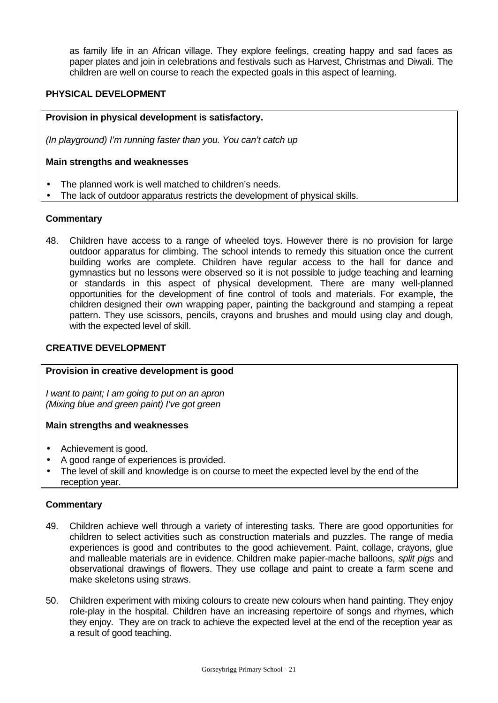as family life in an African village. They explore feelings, creating happy and sad faces as paper plates and join in celebrations and festivals such as Harvest, Christmas and Diwali. The children are well on course to reach the expected goals in this aspect of learning.

# **PHYSICAL DEVELOPMENT**

#### **Provision in physical development is satisfactory.**

*(In playground) I'm running faster than you. You can't catch up*

#### **Main strengths and weaknesses**

- The planned work is well matched to children's needs.
- The lack of outdoor apparatus restricts the development of physical skills.

#### **Commentary**

48. Children have access to a range of wheeled toys. However there is no provision for large outdoor apparatus for climbing. The school intends to remedy this situation once the current building works are complete. Children have regular access to the hall for dance and gymnastics but no lessons were observed so it is not possible to judge teaching and learning or standards in this aspect of physical development. There are many well-planned opportunities for the development of fine control of tools and materials. For example, the children designed their own wrapping paper, painting the background and stamping a repeat pattern. They use scissors, pencils, crayons and brushes and mould using clay and dough, with the expected level of skill.

# **CREATIVE DEVELOPMENT**

#### **Provision in creative development is good**

*I want to paint; I am going to put on an apron (Mixing blue and green paint) I've got green*

#### **Main strengths and weaknesses**

- Achievement is good.
- A good range of experiences is provided.
- The level of skill and knowledge is on course to meet the expected level by the end of the reception year.

- 49. Children achieve well through a variety of interesting tasks. There are good opportunities for children to select activities such as construction materials and puzzles. The range of media experiences is good and contributes to the good achievement. Paint, collage, crayons, glue and malleable materials are in evidence. Children make papier-mache balloons, *split pigs* and observational drawings of flowers. They use collage and paint to create a farm scene and make skeletons using straws.
- 50. Children experiment with mixing colours to create new colours when hand painting. They enjoy role-play in the hospital. Children have an increasing repertoire of songs and rhymes, which they enjoy. They are on track to achieve the expected level at the end of the reception year as a result of good teaching.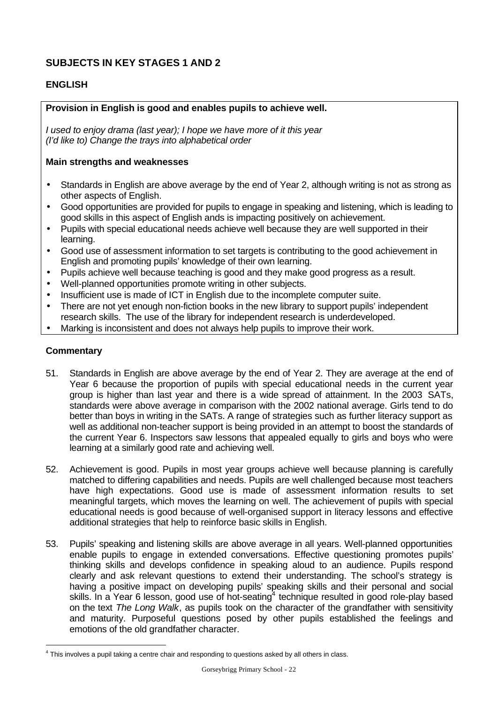# **SUBJECTS IN KEY STAGES 1 AND 2**

# **ENGLISH**

# **Provision in English is good and enables pupils to achieve well.**

*I used to enjoy drama (last year); I hope we have more of it this year (I'd like to) Change the trays into alphabetical order*

#### **Main strengths and weaknesses**

- Standards in English are above average by the end of Year 2, although writing is not as strong as other aspects of English.
- Good opportunities are provided for pupils to engage in speaking and listening, which is leading to good skills in this aspect of English ands is impacting positively on achievement.
- Pupils with special educational needs achieve well because they are well supported in their learning.
- Good use of assessment information to set targets is contributing to the good achievement in English and promoting pupils' knowledge of their own learning.
- Pupils achieve well because teaching is good and they make good progress as a result.
- Well-planned opportunities promote writing in other subjects.
- Insufficient use is made of ICT in English due to the incomplete computer suite.
- There are not yet enough non-fiction books in the new library to support pupils' independent research skills. The use of the library for independent research is underdeveloped.
- Marking is inconsistent and does not always help pupils to improve their work.

#### **Commentary**

l

- 51. Standards in English are above average by the end of Year 2. They are average at the end of Year 6 because the proportion of pupils with special educational needs in the current year group is higher than last year and there is a wide spread of attainment. In the 2003 SATs, standards were above average in comparison with the 2002 national average. Girls tend to do better than boys in writing in the SATs. A range of strategies such as further literacy support as well as additional non-teacher support is being provided in an attempt to boost the standards of the current Year 6. Inspectors saw lessons that appealed equally to girls and boys who were learning at a similarly good rate and achieving well.
- 52. Achievement is good. Pupils in most year groups achieve well because planning is carefully matched to differing capabilities and needs. Pupils are well challenged because most teachers have high expectations. Good use is made of assessment information results to set meaningful targets, which moves the learning on well. The achievement of pupils with special educational needs is good because of well-organised support in literacy lessons and effective additional strategies that help to reinforce basic skills in English.
- 53. Pupils' speaking and listening skills are above average in all years. Well-planned opportunities enable pupils to engage in extended conversations. Effective questioning promotes pupils' thinking skills and develops confidence in speaking aloud to an audience. Pupils respond clearly and ask relevant questions to extend their understanding. The school's strategy is having a positive impact on developing pupils' speaking skills and their personal and social skills. In a Year 6 lesson, good use of hot-seating<sup>4</sup> technique resulted in good role-play based on the text *The Long Walk*, as pupils took on the character of the grandfather with sensitivity and maturity. Purposeful questions posed by other pupils established the feelings and emotions of the old grandfather character.

 $<sup>4</sup>$  This involves a pupil taking a centre chair and responding to questions asked by all others in class.</sup>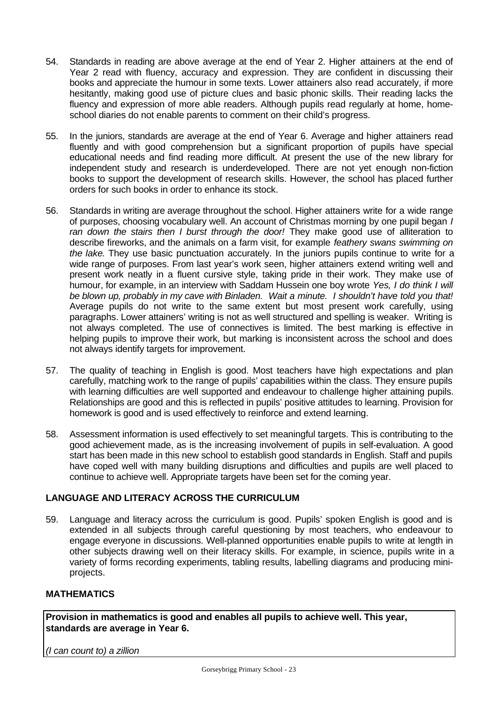- 54. Standards in reading are above average at the end of Year 2. Higher attainers at the end of Year 2 read with fluency, accuracy and expression. They are confident in discussing their books and appreciate the humour in some texts. Lower attainers also read accurately, if more hesitantly, making good use of picture clues and basic phonic skills. Their reading lacks the fluency and expression of more able readers. Although pupils read regularly at home, homeschool diaries do not enable parents to comment on their child's progress.
- 55. In the juniors, standards are average at the end of Year 6. Average and higher attainers read fluently and with good comprehension but a significant proportion of pupils have special educational needs and find reading more difficult. At present the use of the new library for independent study and research is underdeveloped. There are not yet enough non-fiction books to support the development of research skills. However, the school has placed further orders for such books in order to enhance its stock.
- 56. Standards in writing are average throughout the school. Higher attainers write for a wide range of purposes, choosing vocabulary well. An account of Christmas morning by one pupil began *I ran down the stairs then I burst through the door!* They make good use of alliteration to describe fireworks, and the animals on a farm visit, for example *feathery swans swimming on the lake*. They use basic punctuation accurately. In the juniors pupils continue to write for a wide range of purposes. From last year's work seen, higher attainers extend writing well and present work neatly in a fluent cursive style, taking pride in their work. They make use of humour, for example, in an interview with Saddam Hussein one boy wrote *Yes, I do think I will be blown up, probably in my cave with Binladen. Wait a minute. I shouldn't have told you that!* Average pupils do not write to the same extent but most present work carefully, using paragraphs. Lower attainers' writing is not as well structured and spelling is weaker. Writing is not always completed. The use of connectives is limited. The best marking is effective in helping pupils to improve their work, but marking is inconsistent across the school and does not always identify targets for improvement.
- 57. The quality of teaching in English is good. Most teachers have high expectations and plan carefully, matching work to the range of pupils' capabilities within the class. They ensure pupils with learning difficulties are well supported and endeavour to challenge higher attaining pupils. Relationships are good and this is reflected in pupils' positive attitudes to learning. Provision for homework is good and is used effectively to reinforce and extend learning.
- 58. Assessment information is used effectively to set meaningful targets. This is contributing to the good achievement made, as is the increasing involvement of pupils in self-evaluation. A good start has been made in this new school to establish good standards in English. Staff and pupils have coped well with many building disruptions and difficulties and pupils are well placed to continue to achieve well. Appropriate targets have been set for the coming year.

# **LANGUAGE AND LITERACY ACROSS THE CURRICULUM**

59. Language and literacy across the curriculum is good. Pupils' spoken English is good and is extended in all subjects through careful questioning by most teachers, who endeavour to engage everyone in discussions. Well-planned opportunities enable pupils to write at length in other subjects drawing well on their literacy skills. For example, in science, pupils write in a variety of forms recording experiments, tabling results, labelling diagrams and producing miniprojects.

# **MATHEMATICS**

**Provision in mathematics is good and enables all pupils to achieve well. This year, standards are average in Year 6.**

*(I can count to) a zillion*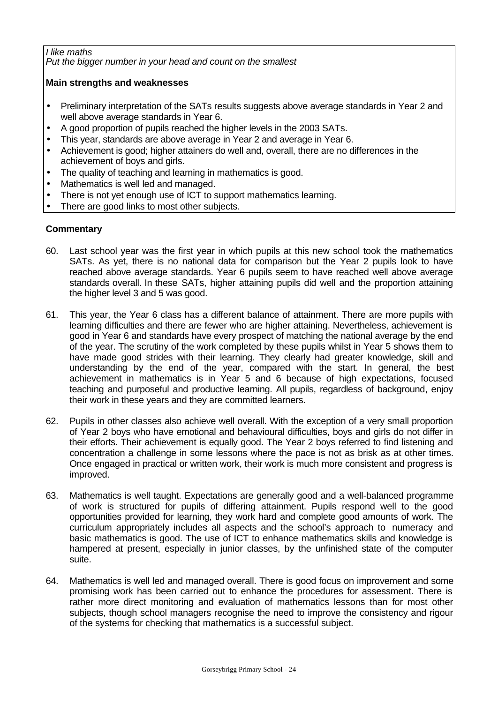# *I like maths*

*Put the bigger number in your head and count on the smallest*

# **Main strengths and weaknesses**

- Preliminary interpretation of the SATs results suggests above average standards in Year 2 and well above average standards in Year 6.
- A good proportion of pupils reached the higher levels in the 2003 SATs.
- This year, standards are above average in Year 2 and average in Year 6.
- Achievement is good; higher attainers do well and, overall, there are no differences in the achievement of boys and girls.
- The quality of teaching and learning in mathematics is good.
- Mathematics is well led and managed.
- There is not yet enough use of ICT to support mathematics learning.
- There are good links to most other subjects.

- 60. Last school year was the first year in which pupils at this new school took the mathematics SATs. As yet, there is no national data for comparison but the Year 2 pupils look to have reached above average standards. Year 6 pupils seem to have reached well above average standards overall. In these SATs, higher attaining pupils did well and the proportion attaining the higher level 3 and 5 was good.
- 61. This year, the Year 6 class has a different balance of attainment. There are more pupils with learning difficulties and there are fewer who are higher attaining. Nevertheless, achievement is good in Year 6 and standards have every prospect of matching the national average by the end of the year. The scrutiny of the work completed by these pupils whilst in Year 5 shows them to have made good strides with their learning. They clearly had greater knowledge, skill and understanding by the end of the year, compared with the start. In general, the best achievement in mathematics is in Year 5 and 6 because of high expectations, focused teaching and purposeful and productive learning. All pupils, regardless of background, enjoy their work in these years and they are committed learners.
- 62. Pupils in other classes also achieve well overall. With the exception of a very small proportion of Year 2 boys who have emotional and behavioural difficulties, boys and girls do not differ in their efforts. Their achievement is equally good. The Year 2 boys referred to find listening and concentration a challenge in some lessons where the pace is not as brisk as at other times. Once engaged in practical or written work, their work is much more consistent and progress is improved.
- 63. Mathematics is well taught. Expectations are generally good and a well-balanced programme of work is structured for pupils of differing attainment. Pupils respond well to the good opportunities provided for learning, they work hard and complete good amounts of work. The curriculum appropriately includes all aspects and the school's approach to numeracy and basic mathematics is good. The use of ICT to enhance mathematics skills and knowledge is hampered at present, especially in junior classes, by the unfinished state of the computer suite.
- 64. Mathematics is well led and managed overall. There is good focus on improvement and some promising work has been carried out to enhance the procedures for assessment. There is rather more direct monitoring and evaluation of mathematics lessons than for most other subjects, though school managers recognise the need to improve the consistency and rigour of the systems for checking that mathematics is a successful subject.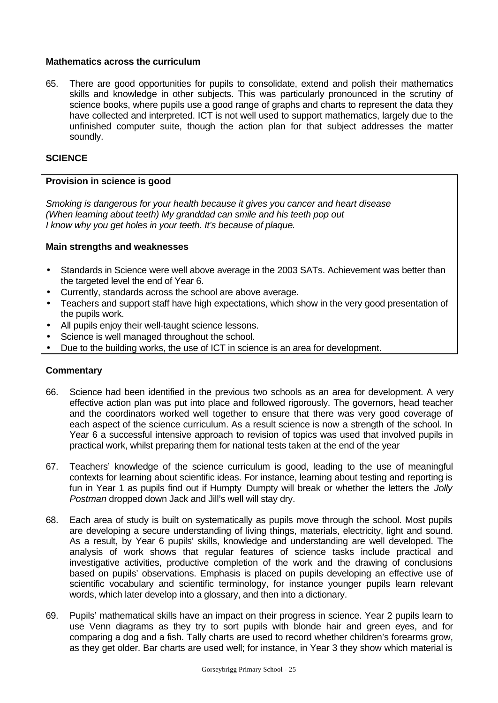# **Mathematics across the curriculum**

65. There are good opportunities for pupils to consolidate, extend and polish their mathematics skills and knowledge in other subjects. This was particularly pronounced in the scrutiny of science books, where pupils use a good range of graphs and charts to represent the data they have collected and interpreted. ICT is not well used to support mathematics, largely due to the unfinished computer suite, though the action plan for that subject addresses the matter soundly.

### **SCIENCE**

#### **Provision in science is good**

*Smoking is dangerous for your health because it gives you cancer and heart disease (When learning about teeth) My granddad can smile and his teeth pop out I know why you get holes in your teeth. It's because of plaque.*

#### **Main strengths and weaknesses**

- Standards in Science were well above average in the 2003 SATs. Achievement was better than the targeted level the end of Year 6.
- Currently, standards across the school are above average.
- Teachers and support staff have high expectations, which show in the very good presentation of the pupils work.
- All pupils enjoy their well-taught science lessons.
- Science is well managed throughout the school.
- Due to the building works, the use of ICT in science is an area for development.

- 66. Science had been identified in the previous two schools as an area for development. A very effective action plan was put into place and followed rigorously. The governors, head teacher and the coordinators worked well together to ensure that there was very good coverage of each aspect of the science curriculum. As a result science is now a strength of the school. In Year 6 a successful intensive approach to revision of topics was used that involved pupils in practical work, whilst preparing them for national tests taken at the end of the year
- 67. Teachers' knowledge of the science curriculum is good, leading to the use of meaningful contexts for learning about scientific ideas. For instance, learning about testing and reporting is fun in Year 1 as pupils find out if Humpty Dumpty will break or whether the letters the *Jolly Postman* dropped down Jack and Jill's well will stay dry.
- 68. Each area of study is built on systematically as pupils move through the school. Most pupils are developing a secure understanding of living things, materials, electricity, light and sound. As a result, by Year 6 pupils' skills, knowledge and understanding are well developed. The analysis of work shows that regular features of science tasks include practical and investigative activities, productive completion of the work and the drawing of conclusions based on pupils' observations. Emphasis is placed on pupils developing an effective use of scientific vocabulary and scientific terminology, for instance younger pupils learn relevant words, which later develop into a glossary, and then into a dictionary.
- 69. Pupils' mathematical skills have an impact on their progress in science. Year 2 pupils learn to use Venn diagrams as they try to sort pupils with blonde hair and green eyes, and for comparing a dog and a fish. Tally charts are used to record whether children's forearms grow, as they get older. Bar charts are used well; for instance, in Year 3 they show which material is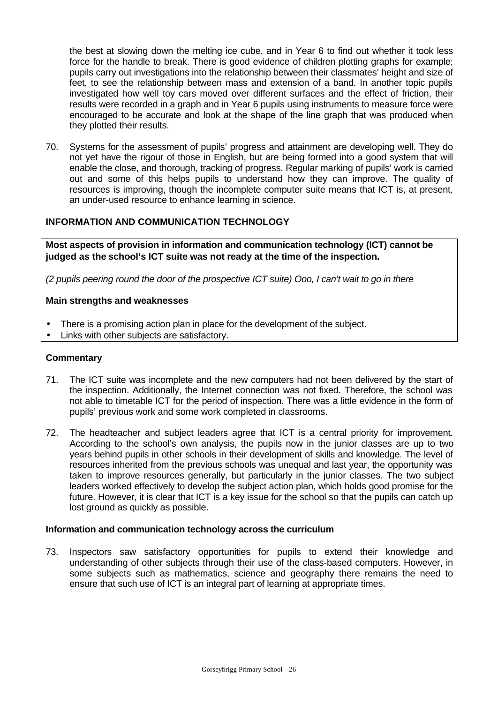the best at slowing down the melting ice cube, and in Year 6 to find out whether it took less force for the handle to break. There is good evidence of children plotting graphs for example; pupils carry out investigations into the relationship between their classmates' height and size of feet, to see the relationship between mass and extension of a band. In another topic pupils investigated how well toy cars moved over different surfaces and the effect of friction, their results were recorded in a graph and in Year 6 pupils using instruments to measure force were encouraged to be accurate and look at the shape of the line graph that was produced when they plotted their results.

70. Systems for the assessment of pupils' progress and attainment are developing well. They do not yet have the rigour of those in English, but are being formed into a good system that will enable the close, and thorough, tracking of progress. Regular marking of pupils' work is carried out and some of this helps pupils to understand how they can improve. The quality of resources is improving, though the incomplete computer suite means that ICT is, at present, an under-used resource to enhance learning in science.

# **INFORMATION AND COMMUNICATION TECHNOLOGY**

**Most aspects of provision in information and communication technology (ICT) cannot be judged as the school's ICT suite was not ready at the time of the inspection.**

*(2 pupils peering round the door of the prospective ICT suite) Ooo, I can't wait to go in there*

#### **Main strengths and weaknesses**

- There is a promising action plan in place for the development of the subject.
- Links with other subjects are satisfactory.

# **Commentary**

- 71. The ICT suite was incomplete and the new computers had not been delivered by the start of the inspection. Additionally, the Internet connection was not fixed. Therefore, the school was not able to timetable ICT for the period of inspection. There was a little evidence in the form of pupils' previous work and some work completed in classrooms.
- 72. The headteacher and subject leaders agree that ICT is a central priority for improvement. According to the school's own analysis, the pupils now in the junior classes are up to two years behind pupils in other schools in their development of skills and knowledge. The level of resources inherited from the previous schools was unequal and last year, the opportunity was taken to improve resources generally, but particularly in the junior classes. The two subject leaders worked effectively to develop the subject action plan, which holds good promise for the future. However, it is clear that ICT is a key issue for the school so that the pupils can catch up lost ground as quickly as possible.

#### **Information and communication technology across the curriculum**

73. Inspectors saw satisfactory opportunities for pupils to extend their knowledge and understanding of other subjects through their use of the class-based computers. However, in some subjects such as mathematics, science and geography there remains the need to ensure that such use of ICT is an integral part of learning at appropriate times.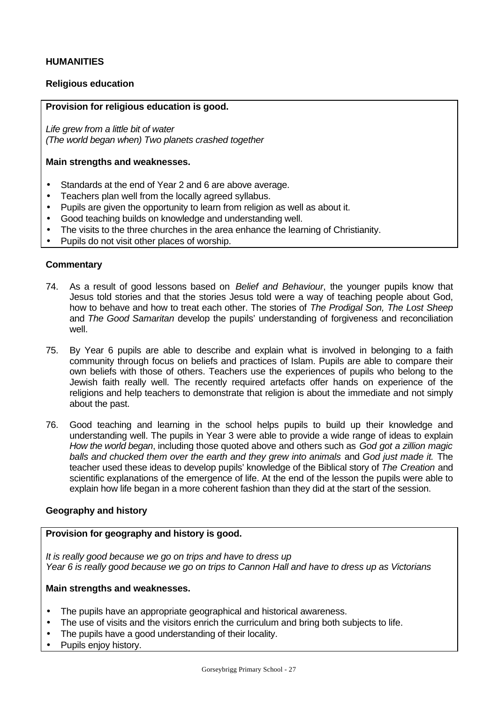# **HUMANITIES**

# **Religious education**

### **Provision for religious education is good.**

*Life grew from a little bit of water (The world began when) Two planets crashed together*

#### **Main strengths and weaknesses.**

- Standards at the end of Year 2 and 6 are above average.
- Teachers plan well from the locally agreed syllabus.
- Pupils are given the opportunity to learn from religion as well as about it.
- Good teaching builds on knowledge and understanding well.
- The visits to the three churches in the area enhance the learning of Christianity.
- Pupils do not visit other places of worship.

#### **Commentary**

- 74. As a result of good lessons based on *Belief and Behaviour*, the younger pupils know that Jesus told stories and that the stories Jesus told were a way of teaching people about God, how to behave and how to treat each other. The stories of *The Prodigal Son, The Lost Sheep* and *The Good Samaritan* develop the pupils' understanding of forgiveness and reconciliation well.
- 75. By Year 6 pupils are able to describe and explain what is involved in belonging to a faith community through focus on beliefs and practices of Islam. Pupils are able to compare their own beliefs with those of others. Teachers use the experiences of pupils who belong to the Jewish faith really well. The recently required artefacts offer hands on experience of the religions and help teachers to demonstrate that religion is about the immediate and not simply about the past.
- 76. Good teaching and learning in the school helps pupils to build up their knowledge and understanding well. The pupils in Year 3 were able to provide a wide range of ideas to explain *How the world began*, including those quoted above and others such as *God got a zillion magic balls and chucked them over the earth and they grew into animals* and *God just made it.* The teacher used these ideas to develop pupils' knowledge of the Biblical story of *The Creation* and scientific explanations of the emergence of life. At the end of the lesson the pupils were able to explain how life began in a more coherent fashion than they did at the start of the session.

# **Geography and history**

# **Provision for geography and history is good.**

*It is really good because we go on trips and have to dress up Year 6 is really good because we go on trips to Cannon Hall and have to dress up as Victorians*

#### **Main strengths and weaknesses.**

- The pupils have an appropriate geographical and historical awareness.
- The use of visits and the visitors enrich the curriculum and bring both subjects to life.
- The pupils have a good understanding of their locality.
- Pupils enjoy history.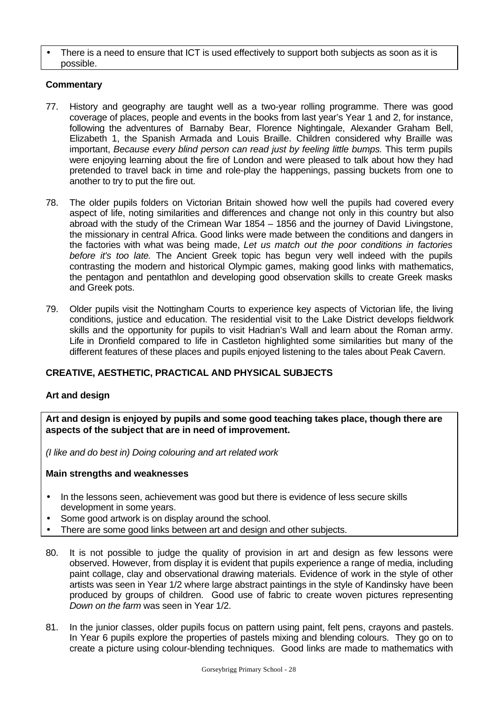There is a need to ensure that ICT is used effectively to support both subjects as soon as it is possible.

# **Commentary**

- 77. History and geography are taught well as a two-year rolling programme. There was good coverage of places, people and events in the books from last year's Year 1 and 2, for instance, following the adventures of Barnaby Bear, Florence Nightingale, Alexander Graham Bell, Elizabeth 1, the Spanish Armada and Louis Braille. Children considered why Braille was important, *Because every blind person can read just by feeling little bumps.* This term pupils were enjoying learning about the fire of London and were pleased to talk about how they had pretended to travel back in time and role-play the happenings, passing buckets from one to another to try to put the fire out.
- 78. The older pupils folders on Victorian Britain showed how well the pupils had covered every aspect of life, noting similarities and differences and change not only in this country but also abroad with the study of the Crimean War 1854 – 1856 and the journey of David Livingstone, the missionary in central Africa. Good links were made between the conditions and dangers in the factories with what was being made, *Let us match out the poor conditions in factories before it's too late.* The Ancient Greek topic has begun very well indeed with the pupils contrasting the modern and historical Olympic games, making good links with mathematics, the pentagon and pentathlon and developing good observation skills to create Greek masks and Greek pots.
- 79. Older pupils visit the Nottingham Courts to experience key aspects of Victorian life, the living conditions, justice and education. The residential visit to the Lake District develops fieldwork skills and the opportunity for pupils to visit Hadrian's Wall and learn about the Roman army. Life in Dronfield compared to life in Castleton highlighted some similarities but many of the different features of these places and pupils enjoyed listening to the tales about Peak Cavern.

# **CREATIVE, AESTHETIC, PRACTICAL AND PHYSICAL SUBJECTS**

# **Art and design**

**Art and design is enjoyed by pupils and some good teaching takes place, though there are aspects of the subject that are in need of improvement.**

*(I like and do best in) Doing colouring and art related work*

#### **Main strengths and weaknesses**

- In the lessons seen, achievement was good but there is evidence of less secure skills development in some years.
- Some good artwork is on display around the school.
- There are some good links between art and design and other subjects.
- 80. It is not possible to judge the quality of provision in art and design as few lessons were observed. However, from display it is evident that pupils experience a range of media, including paint collage, clay and observational drawing materials. Evidence of work in the style of other artists was seen in Year 1/2 where large abstract paintings in the style of Kandinsky have been produced by groups of children. Good use of fabric to create woven pictures representing *Down on the farm* was seen in Year 1/2.
- 81. In the junior classes, older pupils focus on pattern using paint, felt pens, crayons and pastels. In Year 6 pupils explore the properties of pastels mixing and blending colours. They go on to create a picture using colour-blending techniques. Good links are made to mathematics with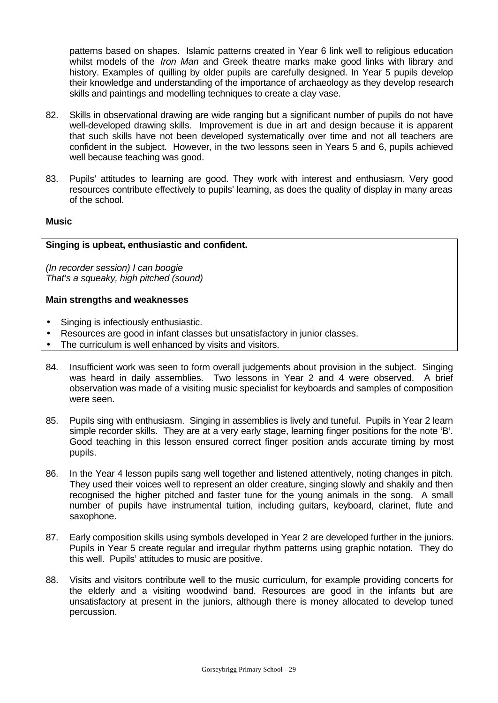patterns based on shapes. Islamic patterns created in Year 6 link well to religious education whilst models of the *Iron Man* and Greek theatre marks make good links with library and history. Examples of quilling by older pupils are carefully designed. In Year 5 pupils develop their knowledge and understanding of the importance of archaeology as they develop research skills and paintings and modelling techniques to create a clay vase.

- 82. Skills in observational drawing are wide ranging but a significant number of pupils do not have well-developed drawing skills. Improvement is due in art and design because it is apparent that such skills have not been developed systematically over time and not all teachers are confident in the subject. However, in the two lessons seen in Years 5 and 6, pupils achieved well because teaching was good.
- 83. Pupils' attitudes to learning are good. They work with interest and enthusiasm. Very good resources contribute effectively to pupils' learning, as does the quality of display in many areas of the school.

# **Music**

#### **Singing is upbeat, enthusiastic and confident.**

*(In recorder session) I can boogie That's a squeaky, high pitched (sound)*

#### **Main strengths and weaknesses**

- Singing is infectiously enthusiastic.
- Resources are good in infant classes but unsatisfactory in junior classes.
- The curriculum is well enhanced by visits and visitors.
- 84. Insufficient work was seen to form overall judgements about provision in the subject. Singing was heard in daily assemblies. Two lessons in Year 2 and 4 were observed. A brief observation was made of a visiting music specialist for keyboards and samples of composition were seen.
- 85. Pupils sing with enthusiasm. Singing in assemblies is lively and tuneful. Pupils in Year 2 learn simple recorder skills. They are at a very early stage, learning finger positions for the note 'B'. Good teaching in this lesson ensured correct finger position ands accurate timing by most pupils.
- 86. In the Year 4 lesson pupils sang well together and listened attentively, noting changes in pitch. They used their voices well to represent an older creature, singing slowly and shakily and then recognised the higher pitched and faster tune for the young animals in the song. A small number of pupils have instrumental tuition, including guitars, keyboard, clarinet, flute and saxophone.
- 87. Early composition skills using symbols developed in Year 2 are developed further in the juniors. Pupils in Year 5 create regular and irregular rhythm patterns using graphic notation. They do this well. Pupils' attitudes to music are positive.
- 88. Visits and visitors contribute well to the music curriculum, for example providing concerts for the elderly and a visiting woodwind band. Resources are good in the infants but are unsatisfactory at present in the juniors, although there is money allocated to develop tuned percussion.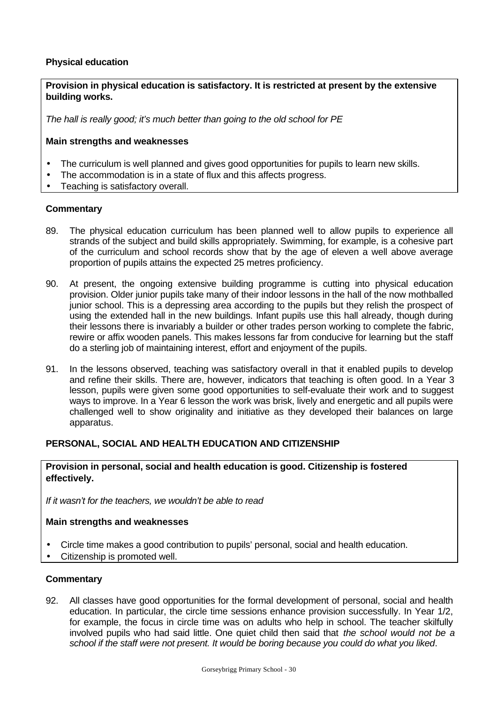# **Physical education**

**Provision in physical education is satisfactory. It is restricted at present by the extensive building works.**

*The hall is really good; it's much better than going to the old school for PE*

# **Main strengths and weaknesses**

- The curriculum is well planned and gives good opportunities for pupils to learn new skills.
- The accommodation is in a state of flux and this affects progress.
- Teaching is satisfactory overall.

#### **Commentary**

- 89. The physical education curriculum has been planned well to allow pupils to experience all strands of the subject and build skills appropriately. Swimming, for example, is a cohesive part of the curriculum and school records show that by the age of eleven a well above average proportion of pupils attains the expected 25 metres proficiency.
- 90. At present, the ongoing extensive building programme is cutting into physical education provision. Older junior pupils take many of their indoor lessons in the hall of the now mothballed junior school. This is a depressing area according to the pupils but they relish the prospect of using the extended hall in the new buildings. Infant pupils use this hall already, though during their lessons there is invariably a builder or other trades person working to complete the fabric, rewire or affix wooden panels. This makes lessons far from conducive for learning but the staff do a sterling job of maintaining interest, effort and enjoyment of the pupils.
- 91. In the lessons observed, teaching was satisfactory overall in that it enabled pupils to develop and refine their skills. There are, however, indicators that teaching is often good. In a Year 3 lesson, pupils were given some good opportunities to self-evaluate their work and to suggest ways to improve. In a Year 6 lesson the work was brisk, lively and energetic and all pupils were challenged well to show originality and initiative as they developed their balances on large apparatus.

# **PERSONAL, SOCIAL AND HEALTH EDUCATION AND CITIZENSHIP**

#### **Provision in personal, social and health education is good. Citizenship is fostered effectively.**

*If it wasn't for the teachers, we wouldn't be able to read*

# **Main strengths and weaknesses**

- Circle time makes a good contribution to pupils' personal, social and health education.
- Citizenship is promoted well.

# **Commentary**

92. All classes have good opportunities for the formal development of personal, social and health education. In particular, the circle time sessions enhance provision successfully. In Year 1/2, for example, the focus in circle time was on adults who help in school. The teacher skilfully involved pupils who had said little. One quiet child then said that *the school would not be a school if the staff were not present. It would be boring because you could do what you liked*.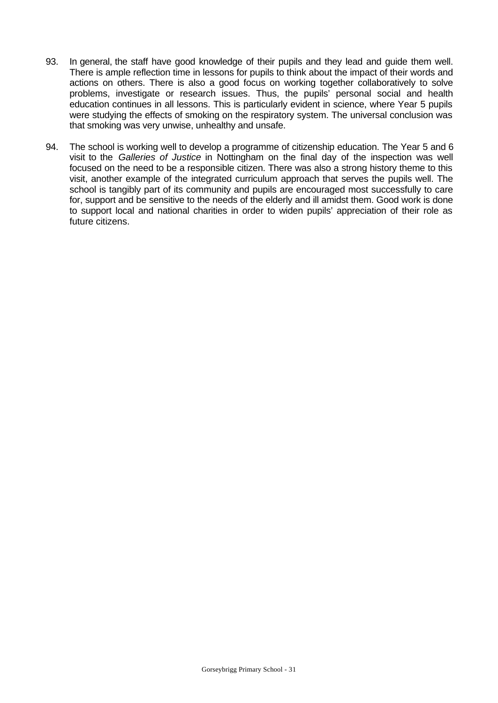- 93. In general, the staff have good knowledge of their pupils and they lead and guide them well. There is ample reflection time in lessons for pupils to think about the impact of their words and actions on others. There is also a good focus on working together collaboratively to solve problems, investigate or research issues. Thus, the pupils' personal social and health education continues in all lessons. This is particularly evident in science, where Year 5 pupils were studying the effects of smoking on the respiratory system. The universal conclusion was that smoking was very unwise, unhealthy and unsafe.
- 94. The school is working well to develop a programme of citizenship education. The Year 5 and 6 visit to the *Galleries of Justice* in Nottingham on the final day of the inspection was well focused on the need to be a responsible citizen. There was also a strong history theme to this visit, another example of the integrated curriculum approach that serves the pupils well. The school is tangibly part of its community and pupils are encouraged most successfully to care for, support and be sensitive to the needs of the elderly and ill amidst them. Good work is done to support local and national charities in order to widen pupils' appreciation of their role as future citizens.